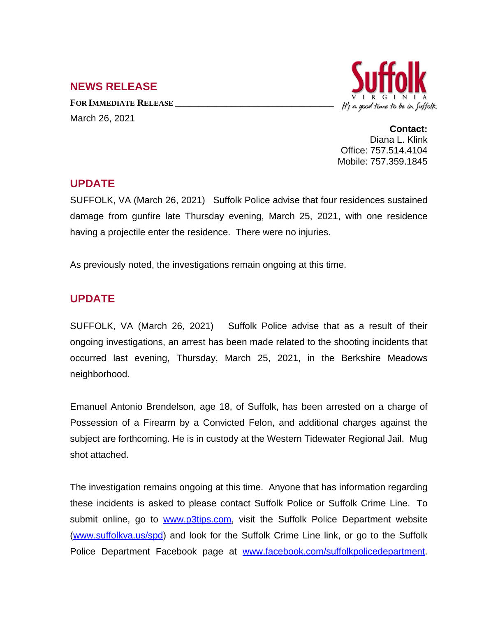## **NEWS RELEASE**

**FOR IMMEDIATE RELEASE \_\_\_\_\_\_\_\_\_\_\_\_\_\_\_\_\_\_\_\_\_\_\_\_\_\_\_\_\_\_\_\_\_\_** March 26, 2021



**Contact:** Diana L. Klink Office: 757.514.4104 Mobile: 757.359.1845

## **UPDATE**

SUFFOLK, VA (March 26, 2021) Suffolk Police advise that four residences sustained damage from gunfire late Thursday evening, March 25, 2021, with one residence having a projectile enter the residence. There were no injuries.

As previously noted, the investigations remain ongoing at this time.

## **UPDATE**

SUFFOLK, VA (March 26, 2021) Suffolk Police advise that as a result of their ongoing investigations, an arrest has been made related to the shooting incidents that occurred last evening, Thursday, March 25, 2021, in the Berkshire Meadows neighborhood.

Emanuel Antonio Brendelson, age 18, of Suffolk, has been arrested on a charge of Possession of a Firearm by a Convicted Felon, and additional charges against the subject are forthcoming. He is in custody at the Western Tidewater Regional Jail. Mug shot attached.

The investigation remains ongoing at this time. Anyone that has information regarding these incidents is asked to please contact Suffolk Police or Suffolk Crime Line. To submit online, go to [www.p3tips.com](http://www.p3tips.com), visit the Suffolk Police Department website ([www.suffolkva.us/spd](http://www.suffolkva.us/spd)) and look for the Suffolk Crime Line link, or go to the Suffolk Police Department Facebook page at [www.facebook.com/suffolkpolicedepartment.](http://www.facebook.com/suffolkpolicedepartment)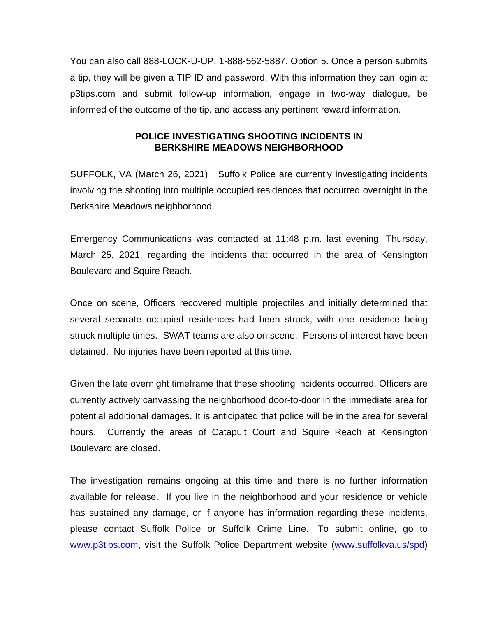You can also call 888-LOCK-U-UP, 1-888-562-5887, Option 5. Once a person submits a tip, they will be given a TIP ID and password. With this information they can login at p3tips.com and submit follow-up information, engage in two-way dialogue, be informed of the outcome of the tip, and access any pertinent reward information.

## **POLICE INVESTIGATING SHOOTING INCIDENTS IN BERKSHIRE MEADOWS NEIGHBORHOOD**

SUFFOLK, VA (March 26, 2021) Suffolk Police are currently investigating incidents involving the shooting into multiple occupied residences that occurred overnight in the Berkshire Meadows neighborhood.

Emergency Communications was contacted at 11:48 p.m. last evening, Thursday, March 25, 2021, regarding the incidents that occurred in the area of Kensington Boulevard and Squire Reach.

Once on scene, Officers recovered multiple projectiles and initially determined that several separate occupied residences had been struck, with one residence being struck multiple times. SWAT teams are also on scene. Persons of interest have been detained. No injuries have been reported at this time.

Given the late overnight timeframe that these shooting incidents occurred, Officers are currently actively canvassing the neighborhood door-to-door in the immediate area for potential additional damages. It is anticipated that police will be in the area for several hours. Currently the areas of Catapult Court and Squire Reach at Kensington Boulevard are closed.

The investigation remains ongoing at this time and there is no further information available for release. If you live in the neighborhood and your residence or vehicle has sustained any damage, or if anyone has information regarding these incidents, please contact Suffolk Police or Suffolk Crime Line. To submit online, go to [www.p3tips.com](http://www.p3tips.com), visit the Suffolk Police Department website ([www.suffolkva.us/spd](http://www.suffolkva.us/spd))